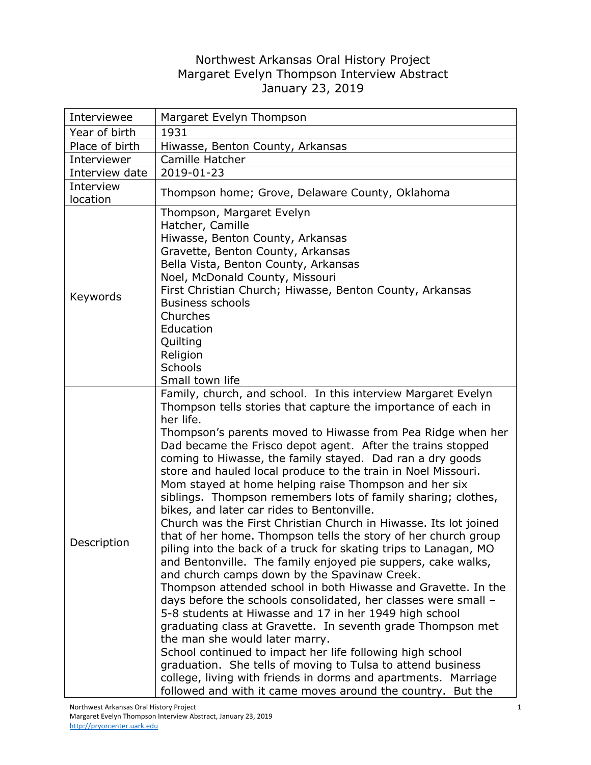## Northwest Arkansas Oral History Project Margaret Evelyn Thompson Interview Abstract January 23, 2019

| Interviewee           | Margaret Evelyn Thompson                                                                                                                                                                                                                                                                                                                                                                                                                                                                                                                                                                                                                                                                                                                                                                                                                                                                                                                                                                                                                                                                                                                                                                                                                                                                                                                                                                                                                                             |
|-----------------------|----------------------------------------------------------------------------------------------------------------------------------------------------------------------------------------------------------------------------------------------------------------------------------------------------------------------------------------------------------------------------------------------------------------------------------------------------------------------------------------------------------------------------------------------------------------------------------------------------------------------------------------------------------------------------------------------------------------------------------------------------------------------------------------------------------------------------------------------------------------------------------------------------------------------------------------------------------------------------------------------------------------------------------------------------------------------------------------------------------------------------------------------------------------------------------------------------------------------------------------------------------------------------------------------------------------------------------------------------------------------------------------------------------------------------------------------------------------------|
| Year of birth         | 1931                                                                                                                                                                                                                                                                                                                                                                                                                                                                                                                                                                                                                                                                                                                                                                                                                                                                                                                                                                                                                                                                                                                                                                                                                                                                                                                                                                                                                                                                 |
| Place of birth        | Hiwasse, Benton County, Arkansas                                                                                                                                                                                                                                                                                                                                                                                                                                                                                                                                                                                                                                                                                                                                                                                                                                                                                                                                                                                                                                                                                                                                                                                                                                                                                                                                                                                                                                     |
| Interviewer           | Camille Hatcher                                                                                                                                                                                                                                                                                                                                                                                                                                                                                                                                                                                                                                                                                                                                                                                                                                                                                                                                                                                                                                                                                                                                                                                                                                                                                                                                                                                                                                                      |
| Interview date        | 2019-01-23                                                                                                                                                                                                                                                                                                                                                                                                                                                                                                                                                                                                                                                                                                                                                                                                                                                                                                                                                                                                                                                                                                                                                                                                                                                                                                                                                                                                                                                           |
| Interview<br>location | Thompson home; Grove, Delaware County, Oklahoma                                                                                                                                                                                                                                                                                                                                                                                                                                                                                                                                                                                                                                                                                                                                                                                                                                                                                                                                                                                                                                                                                                                                                                                                                                                                                                                                                                                                                      |
| Keywords              | Thompson, Margaret Evelyn<br>Hatcher, Camille<br>Hiwasse, Benton County, Arkansas<br>Gravette, Benton County, Arkansas<br>Bella Vista, Benton County, Arkansas<br>Noel, McDonald County, Missouri<br>First Christian Church; Hiwasse, Benton County, Arkansas<br><b>Business schools</b><br>Churches<br>Education<br>Quilting<br>Religion<br><b>Schools</b><br>Small town life                                                                                                                                                                                                                                                                                                                                                                                                                                                                                                                                                                                                                                                                                                                                                                                                                                                                                                                                                                                                                                                                                       |
| Description           | Family, church, and school. In this interview Margaret Evelyn<br>Thompson tells stories that capture the importance of each in<br>her life.<br>Thompson's parents moved to Hiwasse from Pea Ridge when her<br>Dad became the Frisco depot agent. After the trains stopped<br>coming to Hiwasse, the family stayed. Dad ran a dry goods<br>store and hauled local produce to the train in Noel Missouri.<br>Mom stayed at home helping raise Thompson and her six<br>siblings. Thompson remembers lots of family sharing; clothes,<br>bikes, and later car rides to Bentonville.<br>Church was the First Christian Church in Hiwasse. Its lot joined<br>that of her home. Thompson tells the story of her church group<br>piling into the back of a truck for skating trips to Lanagan, MO<br>and Bentonville. The family enjoyed pie suppers, cake walks,<br>and church camps down by the Spavinaw Creek.<br>Thompson attended school in both Hiwasse and Gravette. In the<br>days before the schools consolidated, her classes were small -<br>5-8 students at Hiwasse and 17 in her 1949 high school<br>graduating class at Gravette. In seventh grade Thompson met<br>the man she would later marry.<br>School continued to impact her life following high school<br>graduation. She tells of moving to Tulsa to attend business<br>college, living with friends in dorms and apartments. Marriage<br>followed and with it came moves around the country. But the |